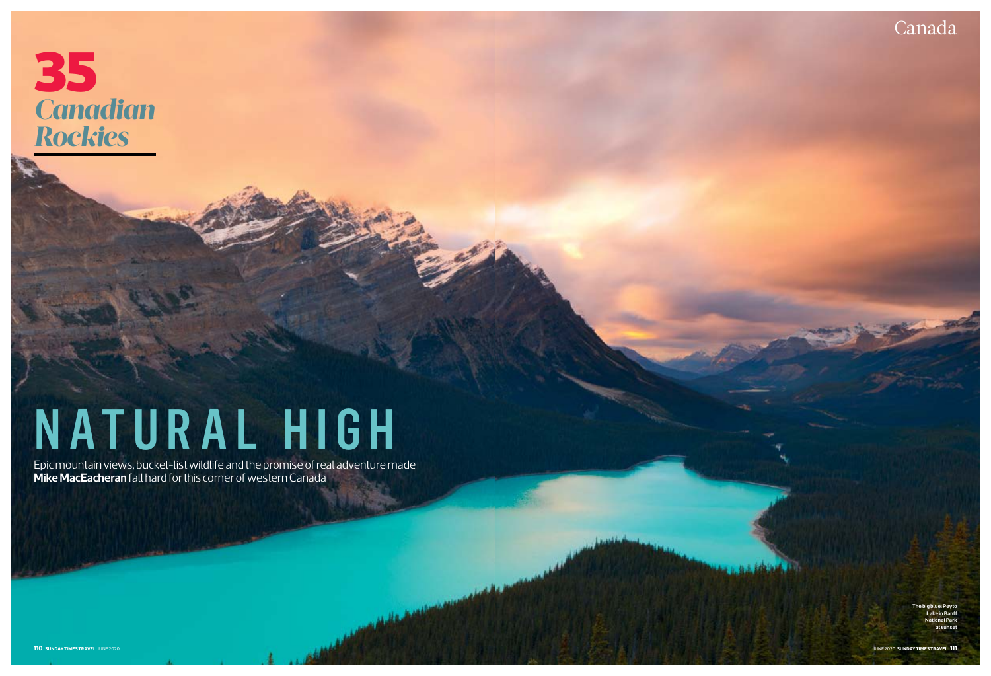# *Canadian Rockies* 35

# NATURAL HIGH

Canada



Epic mountain views, bucket-list wildlife and the promise of real adventure made **Mike MacEacheran** fall hard for this corner of western Canada

**Support Office**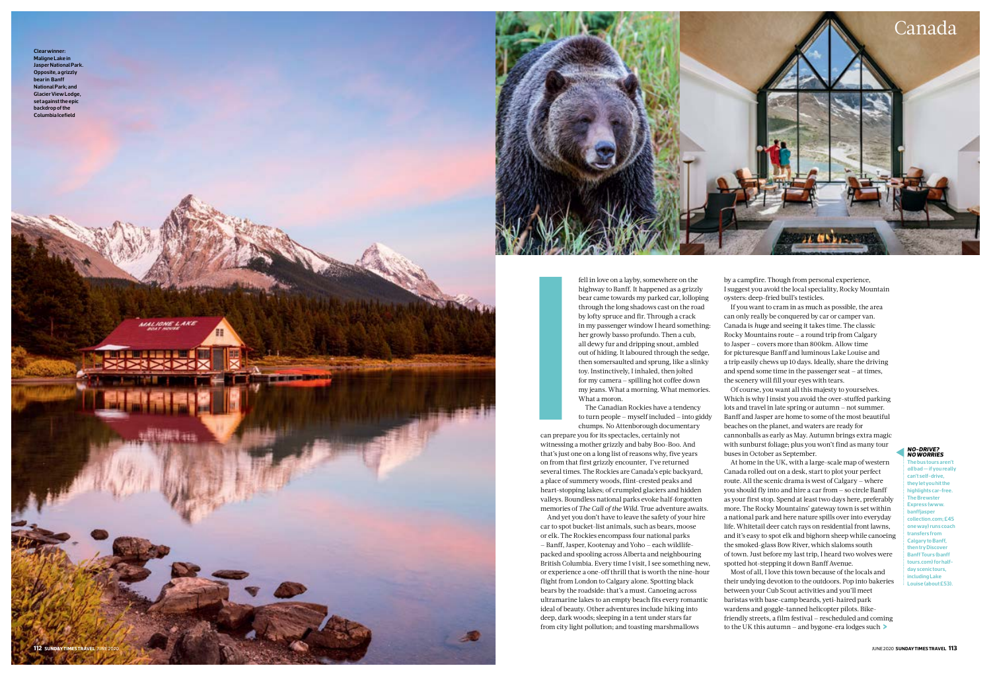

fell in love on a layby, somewhere on the highway to Banff. It happened as a grizzly bear came towards my parked car, lolloping through the long shadows cast on the road by lofty spruce and fir. Through a crack in my passenger window I heard something: her growly basso profundo. Then a cub, all dewy fur and dripping snout, ambled out of hiding. It laboured through the sedge, then somersaulted and sprung, like a slinky toy. Instinctively, I inhaled, then jolted for my camera — spilling hot coffee down my jeans. What a morning. What memories. What a moron.

can prepare you for its spectacles, certainly not witnessing a mother grizzly and baby Boo-Boo. And that's just one on a long list of reasons why, five years on from that first grizzly encounter, I've returned several times. The Rockies are Canada's epic backyard, a place of summery woods, flint-crested peaks and heart-stopping lakes; of crumpled glaciers and hidden valleys. Boundless national parks evoke half-forgotten memories of *The Call of the Wild*. True adventure awaits. Example 1<br>
International property<br>
International property<br>
International property<br>
International property<br>
International property<br>
International property<br>
International property<br>
International property<br>
International prope

The Canadian Rockies have a tendency to turn people — myself included — into giddy chumps. No Attenborough documentary

And yet you don't have to leave the safety of your hire car to spot bucket-list animals, such as bears, moose or elk. The Rockies encompass four national parks — Banff, Jasper, Kootenay and Yoho — each wildlifepacked and spooling across Alberta and neighbouring British Columbia. Every time I visit, I see something new, or experience a one-off thrill that is worth the nine-hour flight from London to Calgary alone. Spotting black bears by the roadside: that's a must. Canoeing across ultramarine lakes to an empty beach fits every romantic ideal of beauty. Other adventures include hiking into deep, dark woods; sleeping in a tent under stars far from city light pollution; and toasting marshmallows

**>** to the UK this autumn — and bygone-era lodges such Most of all, I love this town because of the locals and their undying devotion to the outdoors. Pop into bakeries between your Cub Scout activities and you'll meet baristas with base-camp beards, yeti-haired park wardens and goggle-tanned helicopter pilots. Bikefriendly streets, a film festival — rescheduled and coming

by a campfire. Though from personal experience, I suggest you avoid the local speciality, Rocky Mountain oysters: deep-fried bull's testicles.



**The bus tours aren't** *all* **bad — if you really can't self-drive, they let you hit the highlights car-free. The Brewster Express (www. banffjasper collection.com; £45 one way) runs coach transfers from Calgary to Banff, then try Discover Banff Tours (banff tours.com) for halfday scenic tours, including Lake Louise (about £53).** 

If you want to cram in as much as possible, the area can only really be conquered by car or camper van. Canada is *huge* and seeing it takes time. The classic Rocky Mountains route — a round trip from Calgary to Jasper — covers more than 800km. Allow time for picturesque Banff and luminous Lake Louise and a trip easily chews up 10 days. Ideally, share the driving and spend some time in the passenger seat — at times, the scenery will fill your eyes with tears.

Of course, you want all this majesty to yourselves. Which is why I insist you avoid the over-stuffed parking lots and travel in late spring or autumn — not summer. Banff and Jasper are home to some of the most beautiful beaches on the planet, and waters are ready for cannonballs as early as May. Autumn brings extra magic with sunburst foliage; plus you won't find as many tour buses in October as September.

At home in the UK, with a large-scale map of western Canada rolled out on a desk, start to plot your perfect route. All the scenic drama is west of Calgary — where you should fly into and hire a car from — so circle Banff as your first stop. Spend at least two days here, preferably more. The Rocky Mountains' gateway town is set within a national park and here nature spills over into everyday life. Whitetail deer catch rays on residential front lawns, and it's easy to spot elk and bighorn sheep while canoeing the smoked-glass Bow River, which slaloms south of town. Just before my last trip, I heard two wolves were spotted hot-stepping it down Banff Avenue.

### *No-drive? No worries*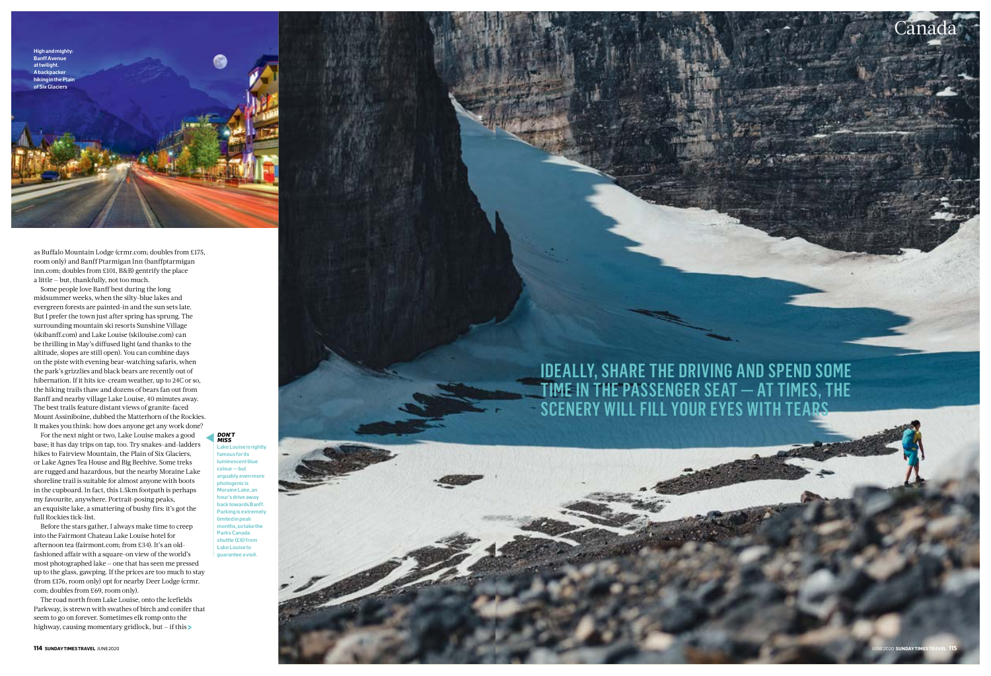# Ideally, share the driving and spend some time in the passenger seat — at times, the scenery will fill your eyes with tears

**High and mighty: Banff Avent at twilight. A backpacker hiking in the Pla of Six Glaciers**



Canad

**famous for its luminescent blue colour — but**  arguably even **photogenic is Moraine Lake, an hour's drive away back towards Banff. Parking is extremely limited in peak months, so take the Parks Canada shuttle (£6) from Lake Louise to** 

## *DON'T MISS*

as Buffalo Mountain Lodge (crmr.com; doubles from £175, room only) and Banff Ptarmigan Inn (banffptarmigan inn.com; doubles from £101, B&B) gentrify the place a little — but, thankfully, not too much.

Some people love Banff best during the long midsummer weeks, when the silty-blue lakes and evergreen forests are painted-in and the sun sets late. But I prefer the town just after spring has sprung. The surrounding mountain ski resorts Sunshine Village (skibanff.com) and Lake Louise (skilouise.com) can be thrilling in May's diffused light (and thanks to the altitude, slopes are still open). You can combine days on the piste with evening bear-watching safaris, when the park's grizzlies and black bears are recently out of hibernation. If it hits ice-cream weather, up to 24C or so, the hiking trails thaw and dozens of bears fan out from Banff and nearby village Lake Louise, 40 minutes away. The best trails feature distant views of granite-faced Mount Assiniboine, dubbed the Matterhorn of the Rockies. It makes you think: how does anyone get any work done?

**>** highway, causing momentary gridlock, but — if this The road north from Lake Louise, onto the Icefields Parkway, is strewn with swathes of birch and conifer that seem to go on forever. Sometimes elk romp onto the

For the next night or two, Lake Louise makes a good base; it has day trips on tap, too. Try snakes-and-ladders hikes to Fairview Mountain, the Plain of Six Glaciers, or Lake Agnes Tea House and Big Beehive. Some treks are rugged and hazardous, but the nearby Moraine Lake shoreline trail is suitable for almost anyone with boots in the cupboard. In fact, this 1.5km footpath is perhaps my favourite, anywhere. Portrait-posing peaks, an exquisite lake, a smattering of bushy firs: it's got the full Rockies tick-list.

Before the stars gather, I always make time to creep into the Fairmont Chateau Lake Louise hotel for afternoon tea (fairmont.com; from £34). It's an oldfashioned affair with a square-on view of the world's most photographed lake — one that has seen me pressed up to the glass, gawping. If the prices are too much to stay (from £176, room only) opt for nearby Deer Lodge (crmr. com; doubles from £69, room only).